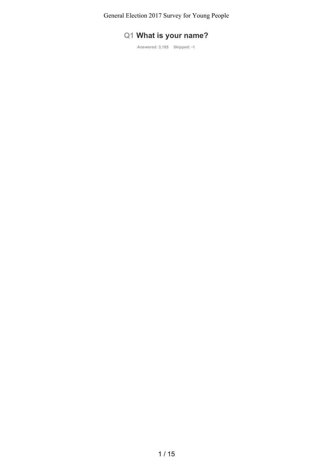# **Q1 What is your name?**

**Answered: 3,165 Skipped: -1**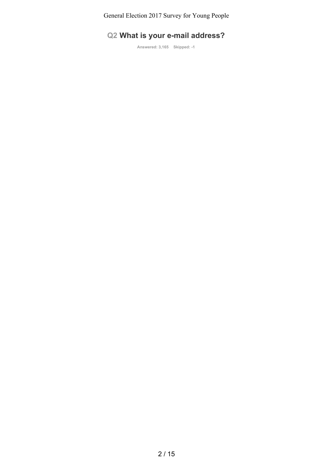# **Q2 What is your e-mail address?**

**Answered: 3,165 Skipped: -1**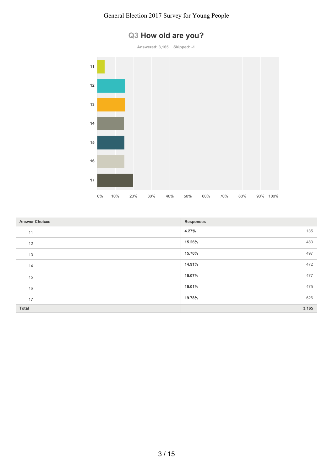

# **Q3 How old are you?**

| <b>Answer Choices</b> | <b>Responses</b> |
|-----------------------|------------------|
| 11                    | 4.27%<br>135     |
| 12                    | 483<br>15.26%    |
| 13                    | 497<br>15.70%    |
| 14                    | 14.91%<br>472    |
| 15                    | 15.07%<br>477    |
| 16                    | 15.01%<br>475    |
| 17                    | 626<br>19.78%    |
| Total                 | 3,165            |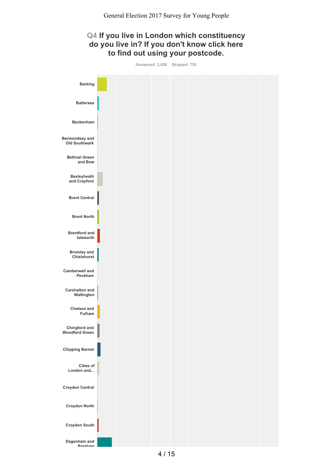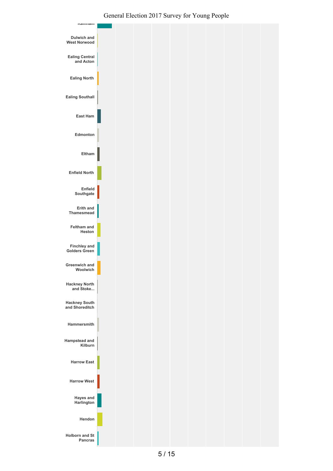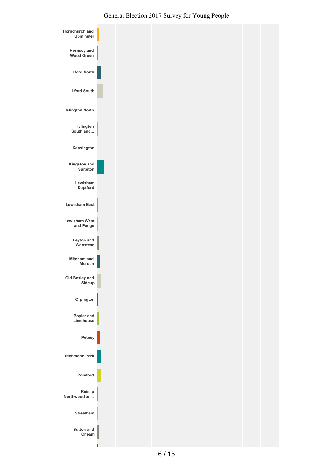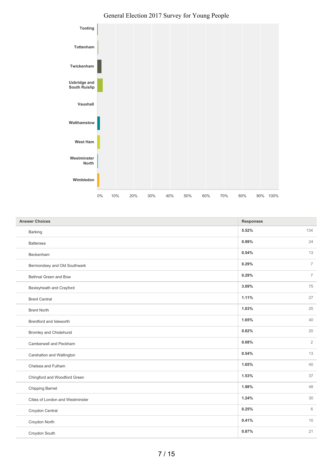

| <b>Answer Choices</b>            | <b>Responses</b> |                |
|----------------------------------|------------------|----------------|
| Barking                          | 5.52%            | 134            |
| Battersea                        | 0.99%            | 24             |
| Beckenham                        | 0.54%            | 13             |
| Bermondsey and Old Southwark     | 0.29%            | $\overline{7}$ |
| Bethnal Green and Bow            | 0.29%            | $\overline{7}$ |
| Bexleyheath and Crayford         | 3.09%            | 75             |
| <b>Brent Central</b>             | 1.11%            | 27             |
| <b>Brent North</b>               | 1.03%            | 25             |
| Brentford and Isleworth          | 1.65%            | 40             |
| <b>Bromley and Chislehurst</b>   | 0.82%            | 20             |
| Camberwell and Peckham           | 0.08%            | $\overline{2}$ |
| Carshalton and Wallington        | 0.54%            | 13             |
| Chelsea and Fulham               | 1.65%            | 40             |
| Chingford and Woodford Green     | 1.53%            | 37             |
| Chipping Barnet                  | 1.98%            | 48             |
| Cities of London and Westminster | 1.24%            | 30             |
| Croydon Central                  | 0.25%            | 6              |
| Croydon North                    | 0.41%            | 10             |
| Croydon South                    | 0.87%            | 21             |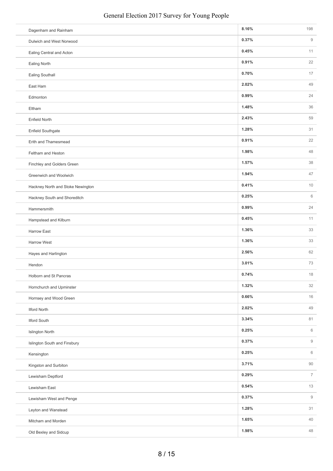| Dagenham and Rainham              | 8.16% | 198                    |
|-----------------------------------|-------|------------------------|
| Dulwich and West Norwood          | 0.37% | $\hbox{g}$             |
| Ealing Central and Acton          | 0.45% | 11                     |
| Ealing North                      | 0.91% | 22                     |
| Ealing Southall                   | 0.70% | 17                     |
| East Ham                          | 2.02% | 49                     |
| Edmonton                          | 0.99% | 24                     |
| Eltham                            | 1.48% | 36                     |
| <b>Enfield North</b>              | 2.43% | 59                     |
| Enfield Southgate                 | 1.28% | 31                     |
| Erith and Thamesmead              | 0.91% | 22                     |
| Feltham and Heston                | 1.98% | 48                     |
| Finchley and Golders Green        | 1.57% | 38                     |
| Greenwich and Woolwich            | 1.94% | 47                     |
| Hackney North and Stoke Newington | 0.41% | 10                     |
| Hackney South and Shoreditch      | 0.25% | 6                      |
| Hammersmith                       | 0.99% | 24                     |
| Hampstead and Kilburn             | 0.45% | 11                     |
| <b>Harrow East</b>                | 1.36% | 33                     |
| <b>Harrow West</b>                | 1.36% | 33                     |
| Hayes and Harlington              | 2.56% | 62                     |
| Hendon                            | 3.01% | 73                     |
| Holborn and St Pancras            | 0.74% | $18\,$                 |
| Hornchurch and Upminster          | 1.32% | 32                     |
| Hornsey and Wood Green            | 0.66% | 16                     |
| <b>Ilford North</b>               | 2.02% | 49                     |
| <b>Ilford South</b>               | 3.34% | 81                     |
| Islington North                   | 0.25% | 6                      |
| Islington South and Finsbury      | 0.37% | $\overline{9}$         |
| Kensington                        | 0.25% | 6                      |
| Kingston and Surbiton             | 3.71% | $90\,$                 |
| Lewisham Deptford                 | 0.29% | $\overline{7}$         |
| Lewisham East                     | 0.54% | 13                     |
| Lewisham West and Penge           | 0.37% | $\mathrel{\mathsf{g}}$ |
| Leyton and Wanstead               | 1.28% | 31                     |
| Mitcham and Morden                | 1.65% | 40                     |
| Old Bexley and Sidcup             | 1.98% | 48                     |
|                                   |       |                        |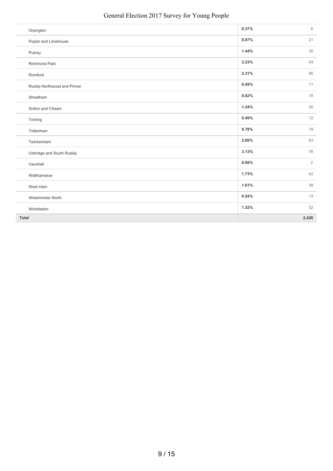| Orpington                    | 0.37% | $\mathrel{\mathsf{g}}$ |
|------------------------------|-------|------------------------|
| Poplar and Limehouse         | 0.87% | 21                     |
| Putney                       | 1.44% | 35                     |
| <b>Richmond Park</b>         | 2.23% | 54                     |
| Romford                      | 2.31% | 56                     |
| Ruislip Northwood and Pinner | 0.45% | 11                     |
| Streatham                    | 0.62% | 15                     |
| Sutton and Cheam             | 1.24% | 30                     |
| Tooting                      | 0.49% | 12                     |
| Tottenham                    | 0.78% | 19                     |
| Twickenham                   | 2.60% | 63                     |
| Uxbridge and South Ruislip   | 3.13% | 76                     |
| Vauxhall                     | 0.08% | $\overline{2}$         |
| Walthamstow                  | 1.73% | 42                     |
| West Ham                     | 1.61% | 39                     |
| <b>Westminster North</b>     | 0.54% | 13                     |
| Wimbledon                    | 1.32% | 32                     |
| Total                        |       | 2,426                  |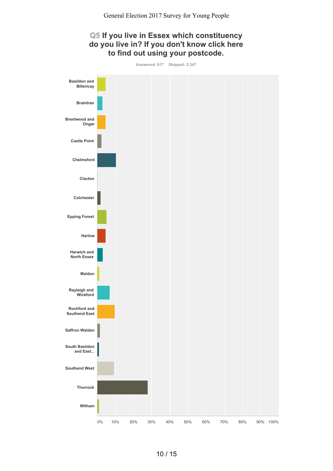

10 / 15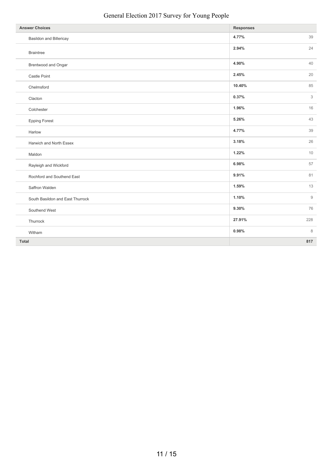| <b>Answer Choices</b>            | <b>Responses</b> |     |
|----------------------------------|------------------|-----|
| Basildon and Billericay          | 4.77%            | 39  |
| <b>Braintree</b>                 | 2.94%            | 24  |
| Brentwood and Ongar              | 4.90%            | 40  |
| Castle Point                     | 2.45%            | 20  |
| Chelmsford                       | 10.40%           | 85  |
| Clacton                          | 0.37%            | 3   |
| Colchester                       | 1.96%            | 16  |
| <b>Epping Forest</b>             | 5.26%            | 43  |
| Harlow                           | 4.77%            | 39  |
| Harwich and North Essex          | 3.18%            | 26  |
| Maldon                           | 1.22%            | 10  |
| Rayleigh and Wickford            | 6.98%            | 57  |
| Rochford and Southend East       | 9.91%            | 81  |
| Saffron Walden                   | 1.59%            | 13  |
| South Basildon and East Thurrock | 1.10%            | 9   |
| Southend West                    | 9.30%            | 76  |
| Thurrock                         | 27.91%           | 228 |
| Witham                           | 0.98%            | 8   |
| <b>Total</b>                     |                  | 817 |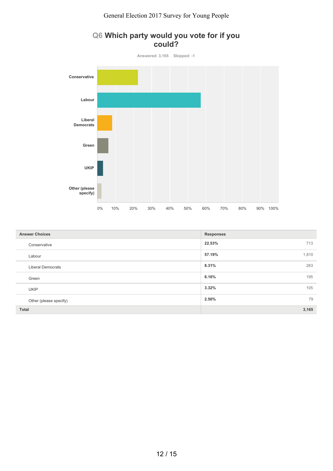

| Q6 Which party would you vote for if you |        |  |  |  |
|------------------------------------------|--------|--|--|--|
|                                          | could? |  |  |  |

| <b>Answer Choices</b>    | <b>Responses</b> |
|--------------------------|------------------|
| Conservative             | 22.53%<br>713    |
| Labour                   | 1,810<br>57.19%  |
| <b>Liberal Democrats</b> | 8.31%<br>263     |
| Green                    | 6.16%<br>195     |
| <b>UKIP</b>              | 3.32%<br>105     |
| Other (please specify)   | 2.50%<br>79      |
| Total                    | 3,165            |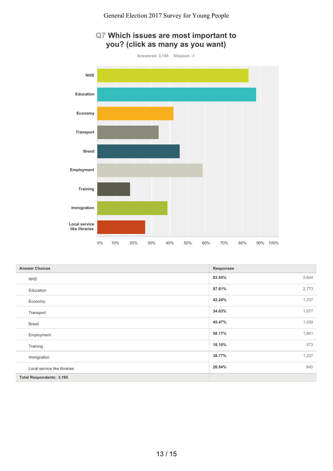

| Q7 Which issues are most important to |
|---------------------------------------|
| you? (click as many as you want)      |

| <b>Answer Choices</b>           | <b>Responses</b> |
|---------------------------------|------------------|
| <b>NHS</b>                      | 2,644<br>83.54%  |
| Education                       | 2,773<br>87.61%  |
| Economy                         | 42.24%<br>1,337  |
| Transport                       | 1,077<br>34.03%  |
| <b>Brexit</b>                   | 1,439<br>45.47%  |
| Employment                      | 58.17%<br>1,841  |
| Training                        | 573<br>18.10%    |
| Immigration                     | 1,227<br>38.77%  |
| Local service like libraries    | 840<br>26.54%    |
| <b>Total Respondents: 3,165</b> |                  |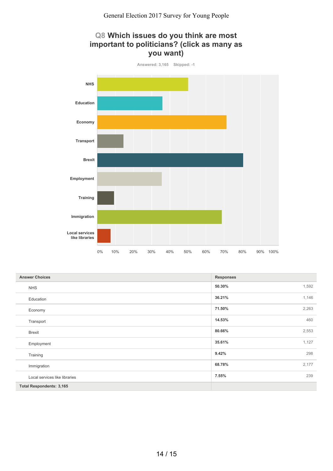## **Q8 Which issues do you think are most important to politicians? (click as many as you want)**



| <b>Answer Choices</b>           | <b>Responses</b> |
|---------------------------------|------------------|
| <b>NHS</b>                      | 1,592<br>50.30%  |
| Education                       | 1,146<br>36.21%  |
| Economy                         | 2,263<br>71.50%  |
| Transport                       | 460<br>14.53%    |
| <b>Brexit</b>                   | 2,553<br>80.66%  |
| Employment                      | 1,127<br>35.61%  |
| Training                        | 298<br>9.42%     |
| Immigration                     | 2,177<br>68.78%  |
| Local services like libraries   | 239<br>7.55%     |
| <b>Total Respondents: 3,165</b> |                  |